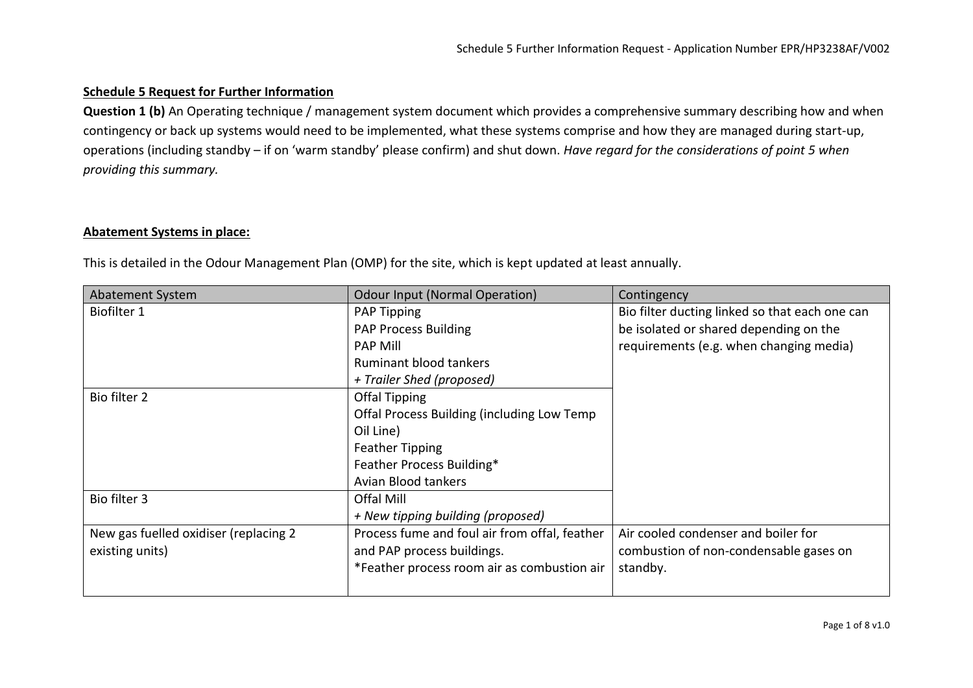# **Schedule 5 Request for Further Information**

**Question 1 (b)** An Operating technique / management system document which provides a comprehensive summary describing how and when contingency or back up systems would need to be implemented, what these systems comprise and how they are managed during start-up, operations (including standby – if on 'warm standby' please confirm) and shut down. *Have regard for the considerations of point 5 when providing this summary.*

## **Abatement Systems in place:**

This is detailed in the Odour Management Plan (OMP) for the site, which is kept updated at least annually.

| Abatement System                      | <b>Odour Input (Normal Operation)</b>         | Contingency                                    |
|---------------------------------------|-----------------------------------------------|------------------------------------------------|
| Biofilter 1                           | <b>PAP Tipping</b>                            | Bio filter ducting linked so that each one can |
|                                       | <b>PAP Process Building</b>                   | be isolated or shared depending on the         |
|                                       | <b>PAP Mill</b>                               | requirements (e.g. when changing media)        |
|                                       | <b>Ruminant blood tankers</b>                 |                                                |
|                                       | + Trailer Shed (proposed)                     |                                                |
| Bio filter 2                          | <b>Offal Tipping</b>                          |                                                |
|                                       | Offal Process Building (including Low Temp    |                                                |
|                                       | Oil Line)                                     |                                                |
|                                       | <b>Feather Tipping</b>                        |                                                |
|                                       | Feather Process Building*                     |                                                |
|                                       | Avian Blood tankers                           |                                                |
| Bio filter 3                          | Offal Mill                                    |                                                |
|                                       | + New tipping building (proposed)             |                                                |
| New gas fuelled oxidiser (replacing 2 | Process fume and foul air from offal, feather | Air cooled condenser and boiler for            |
| existing units)                       | and PAP process buildings.                    | combustion of non-condensable gases on         |
|                                       | *Feather process room air as combustion air   | standby.                                       |
|                                       |                                               |                                                |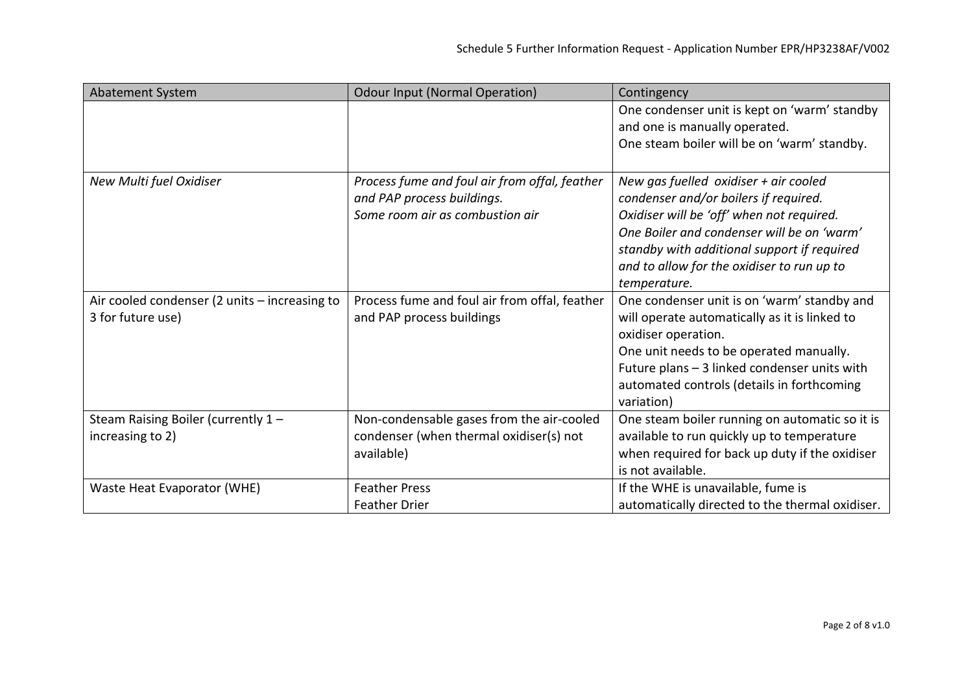| Abatement System                                                   | <b>Odour Input (Normal Operation)</b>                                                                          | Contingency                                                                                                                                                                                                                                                                              |
|--------------------------------------------------------------------|----------------------------------------------------------------------------------------------------------------|------------------------------------------------------------------------------------------------------------------------------------------------------------------------------------------------------------------------------------------------------------------------------------------|
|                                                                    |                                                                                                                | One condenser unit is kept on 'warm' standby<br>and one is manually operated.<br>One steam boiler will be on 'warm' standby.                                                                                                                                                             |
| New Multi fuel Oxidiser                                            | Process fume and foul air from offal, feather<br>and PAP process buildings.<br>Some room air as combustion air | New gas fuelled oxidiser $+$ air cooled<br>condenser and/or boilers if required.<br>Oxidiser will be 'off' when not required.<br>One Boiler and condenser will be on 'warm'<br>standby with additional support if required<br>and to allow for the oxidiser to run up to<br>temperature. |
| Air cooled condenser (2 units - increasing to<br>3 for future use) | Process fume and foul air from offal, feather<br>and PAP process buildings                                     | One condenser unit is on 'warm' standby and<br>will operate automatically as it is linked to<br>oxidiser operation.<br>One unit needs to be operated manually.<br>Future plans - 3 linked condenser units with<br>automated controls (details in forthcoming<br>variation)               |
| Steam Raising Boiler (currently 1 -<br>increasing to 2)            | Non-condensable gases from the air-cooled<br>condenser (when thermal oxidiser(s) not<br>available)             | One steam boiler running on automatic so it is<br>available to run quickly up to temperature<br>when required for back up duty if the oxidiser<br>is not available.                                                                                                                      |
| Waste Heat Evaporator (WHE)                                        | <b>Feather Press</b><br><b>Feather Drier</b>                                                                   | If the WHE is unavailable, fume is<br>automatically directed to the thermal oxidiser.                                                                                                                                                                                                    |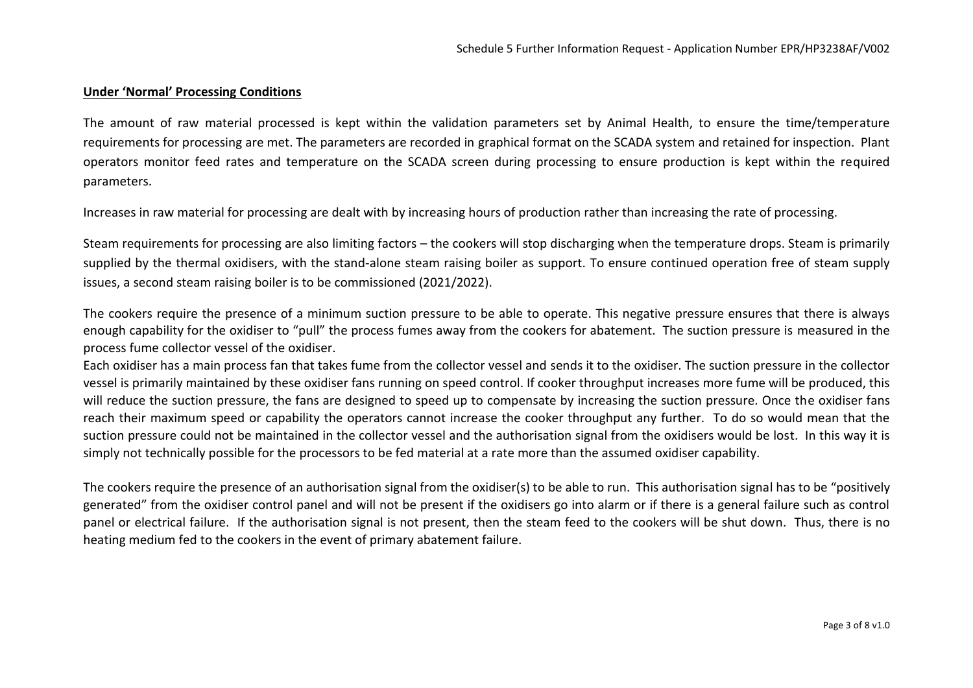#### **Under 'Normal' Processing Conditions**

The amount of raw material processed is kept within the validation parameters set by Animal Health, to ensure the time/temperature requirements for processing are met. The parameters are recorded in graphical format on the SCADA system and retained for inspection. Plant operators monitor feed rates and temperature on the SCADA screen during processing to ensure production is kept within the required parameters.

Increases in raw material for processing are dealt with by increasing hours of production rather than increasing the rate of processing.

Steam requirements for processing are also limiting factors – the cookers will stop discharging when the temperature drops. Steam is primarily supplied by the thermal oxidisers, with the stand-alone steam raising boiler as support. To ensure continued operation free of steam supply issues, a second steam raising boiler is to be commissioned (2021/2022).

The cookers require the presence of a minimum suction pressure to be able to operate. This negative pressure ensures that there is always enough capability for the oxidiser to "pull" the process fumes away from the cookers for abatement. The suction pressure is measured in the process fume collector vessel of the oxidiser.

Each oxidiser has a main process fan that takes fume from the collector vessel and sends it to the oxidiser. The suction pressure in the collector vessel is primarily maintained by these oxidiser fans running on speed control. If cooker throughput increases more fume will be produced, this will reduce the suction pressure, the fans are designed to speed up to compensate by increasing the suction pressure. Once the oxidiser fans reach their maximum speed or capability the operators cannot increase the cooker throughput any further. To do so would mean that the suction pressure could not be maintained in the collector vessel and the authorisation signal from the oxidisers would be lost. In this way it is simply not technically possible for the processors to be fed material at a rate more than the assumed oxidiser capability.

The cookers require the presence of an authorisation signal from the oxidiser(s) to be able to run. This authorisation signal has to be "positively generated" from the oxidiser control panel and will not be present if the oxidisers go into alarm or if there is a general failure such as control panel or electrical failure. If the authorisation signal is not present, then the steam feed to the cookers will be shut down. Thus, there is no heating medium fed to the cookers in the event of primary abatement failure.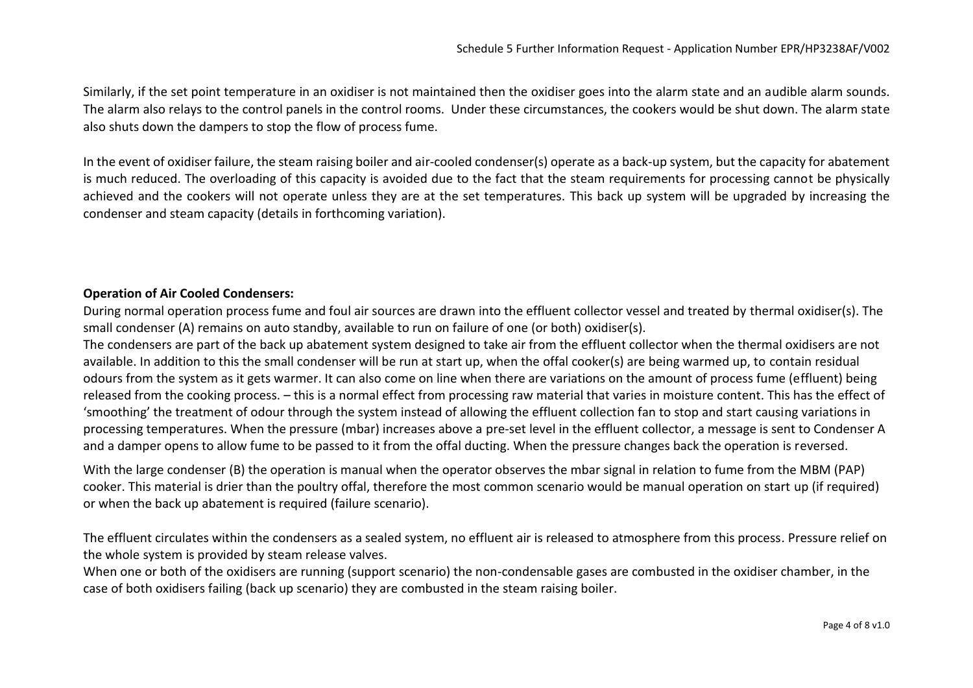Similarly, if the set point temperature in an oxidiser is not maintained then the oxidiser goes into the alarm state and an audible alarm sounds. The alarm also relays to the control panels in the control rooms. Under these circumstances, the cookers would be shut down. The alarm state also shuts down the dampers to stop the flow of process fume.

In the event of oxidiser failure, the steam raising boiler and air-cooled condenser(s) operate as a back-up system, but the capacity for abatement is much reduced. The overloading of this capacity is avoided due to the fact that the steam requirements for processing cannot be physically achieved and the cookers will not operate unless they are at the set temperatures. This back up system will be upgraded by increasing the condenser and steam capacity (details in forthcoming variation).

### **Operation of Air Cooled Condensers:**

During normal operation process fume and foul air sources are drawn into the effluent collector vessel and treated by thermal oxidiser(s). The small condenser (A) remains on auto standby, available to run on failure of one (or both) oxidiser(s).

The condensers are part of the back up abatement system designed to take air from the effluent collector when the thermal oxidisers are not available. In addition to this the small condenser will be run at start up, when the offal cooker(s) are being warmed up, to contain residual odours from the system as it gets warmer. It can also come on line when there are variations on the amount of process fume (effluent) being released from the cooking process. – this is a normal effect from processing raw material that varies in moisture content. This has the effect of 'smoothing' the treatment of odour through the system instead of allowing the effluent collection fan to stop and start causing variations in processing temperatures. When the pressure (mbar) increases above a pre-set level in the effluent collector, a message is sent to Condenser A and a damper opens to allow fume to be passed to it from the offal ducting. When the pressure changes back the operation is reversed.

With the large condenser (B) the operation is manual when the operator observes the mbar signal in relation to fume from the MBM (PAP) cooker. This material is drier than the poultry offal, therefore the most common scenario would be manual operation on start up (if required) or when the back up abatement is required (failure scenario).

The effluent circulates within the condensers as a sealed system, no effluent air is released to atmosphere from this process. Pressure relief on the whole system is provided by steam release valves.

When one or both of the oxidisers are running (support scenario) the non-condensable gases are combusted in the oxidiser chamber, in the case of both oxidisers failing (back up scenario) they are combusted in the steam raising boiler.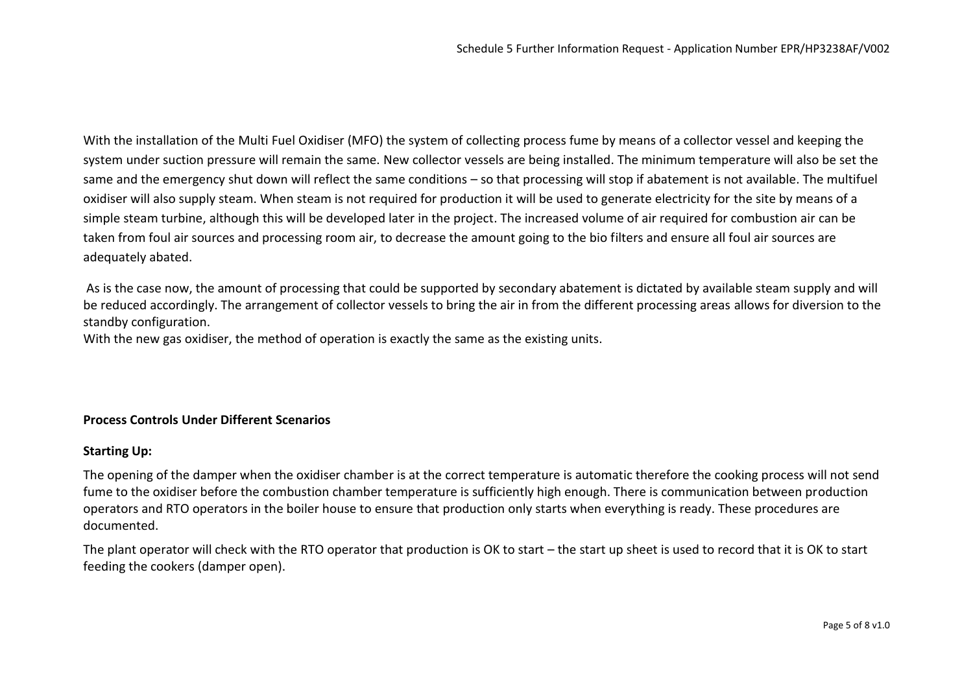With the installation of the Multi Fuel Oxidiser (MFO) the system of collecting process fume by means of a collector vessel and keeping the system under suction pressure will remain the same. New collector vessels are being installed. The minimum temperature will also be set the same and the emergency shut down will reflect the same conditions – so that processing will stop if abatement is not available. The multifuel oxidiser will also supply steam. When steam is not required for production it will be used to generate electricity for the site by means of a simple steam turbine, although this will be developed later in the project. The increased volume of air required for combustion air can be taken from foul air sources and processing room air, to decrease the amount going to the bio filters and ensure all foul air sources are adequately abated.

As is the case now, the amount of processing that could be supported by secondary abatement is dictated by available steam supply and will be reduced accordingly. The arrangement of collector vessels to bring the air in from the different processing areas allows for diversion to the standby configuration.

With the new gas oxidiser, the method of operation is exactly the same as the existing units.

## **Process Controls Under Different Scenarios**

### **Starting Up:**

The opening of the damper when the oxidiser chamber is at the correct temperature is automatic therefore the cooking process will not send fume to the oxidiser before the combustion chamber temperature is sufficiently high enough. There is communication between production operators and RTO operators in the boiler house to ensure that production only starts when everything is ready. These procedures are documented.

The plant operator will check with the RTO operator that production is OK to start – the start up sheet is used to record that it is OK to start feeding the cookers (damper open).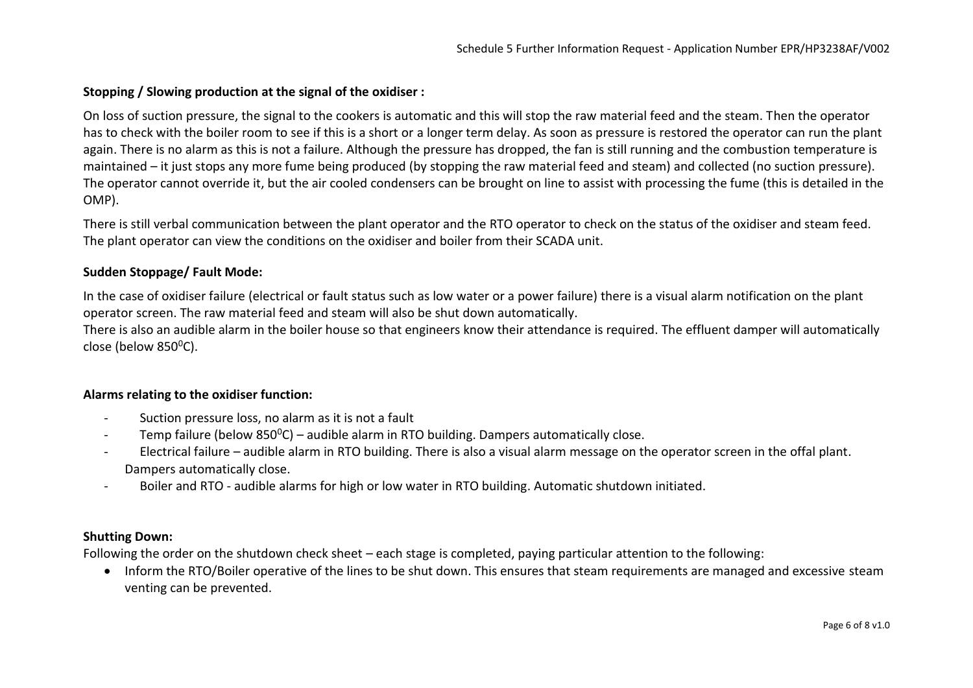### **Stopping / Slowing production at the signal of the oxidiser :**

On loss of suction pressure, the signal to the cookers is automatic and this will stop the raw material feed and the steam. Then the operator has to check with the boiler room to see if this is a short or a longer term delay. As soon as pressure is restored the operator can run the plant again. There is no alarm as this is not a failure. Although the pressure has dropped, the fan is still running and the combustion temperature is maintained – it just stops any more fume being produced (by stopping the raw material feed and steam) and collected (no suction pressure). The operator cannot override it, but the air cooled condensers can be brought on line to assist with processing the fume (this is detailed in the OMP).

There is still verbal communication between the plant operator and the RTO operator to check on the status of the oxidiser and steam feed. The plant operator can view the conditions on the oxidiser and boiler from their SCADA unit.

### **Sudden Stoppage/ Fault Mode:**

In the case of oxidiser failure (electrical or fault status such as low water or a power failure) there is a visual alarm notification on the plant operator screen. The raw material feed and steam will also be shut down automatically.

There is also an audible alarm in the boiler house so that engineers know their attendance is required. The effluent damper will automatically close (below  $850^{\circ}$ C).

### **Alarms relating to the oxidiser function:**

- Suction pressure loss, no alarm as it is not a fault
- Temp failure (below  $850^{\circ}$ C) audible alarm in RTO building. Dampers automatically close.
- Electrical failure audible alarm in RTO building. There is also a visual alarm message on the operator screen in the offal plant. Dampers automatically close.
- Boiler and RTO audible alarms for high or low water in RTO building. Automatic shutdown initiated.

#### **Shutting Down:**

Following the order on the shutdown check sheet – each stage is completed, paying particular attention to the following:

• Inform the RTO/Boiler operative of the lines to be shut down. This ensures that steam requirements are managed and excessive steam venting can be prevented.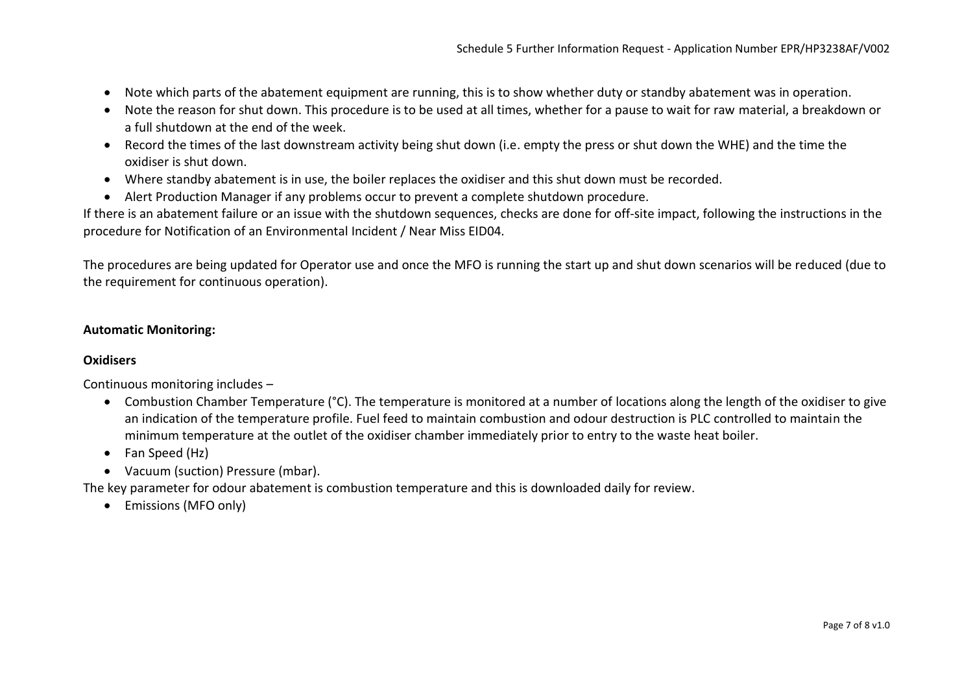- Note which parts of the abatement equipment are running, this is to show whether duty or standby abatement was in operation.
- Note the reason for shut down. This procedure is to be used at all times, whether for a pause to wait for raw material, a breakdown or a full shutdown at the end of the week.
- Record the times of the last downstream activity being shut down (i.e. empty the press or shut down the WHE) and the time the oxidiser is shut down.
- Where standby abatement is in use, the boiler replaces the oxidiser and this shut down must be recorded.
- Alert Production Manager if any problems occur to prevent a complete shutdown procedure.

If there is an abatement failure or an issue with the shutdown sequences, checks are done for off-site impact, following the instructions in the procedure for Notification of an Environmental Incident / Near Miss EID04.

The procedures are being updated for Operator use and once the MFO is running the start up and shut down scenarios will be reduced (due to the requirement for continuous operation).

## **Automatic Monitoring:**

### **Oxidisers**

Continuous monitoring includes –

- Combustion Chamber Temperature (°C). The temperature is monitored at a number of locations along the length of the oxidiser to give an indication of the temperature profile. Fuel feed to maintain combustion and odour destruction is PLC controlled to maintain the minimum temperature at the outlet of the oxidiser chamber immediately prior to entry to the waste heat boiler.
- Fan Speed (Hz)
- Vacuum (suction) Pressure (mbar).

The key parameter for odour abatement is combustion temperature and this is downloaded daily for review.

• Emissions (MFO only)